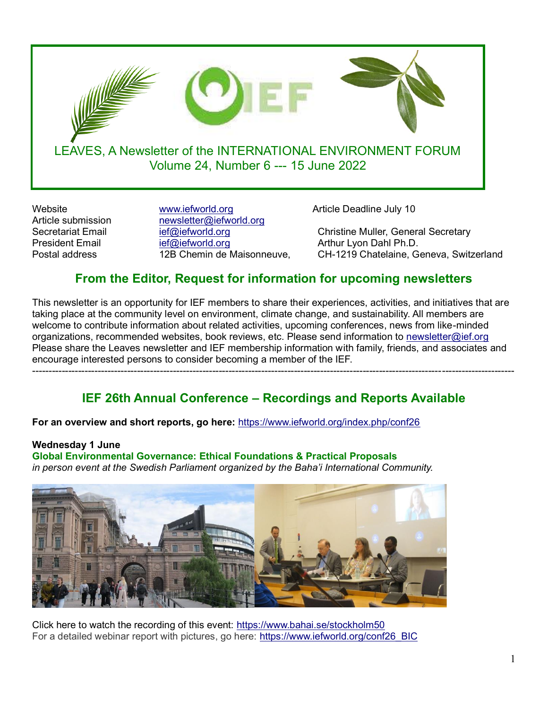

Website **With article With Website Website** Website Website **Article Deadline July 10** Article submission newsletter@iefworld.org<br>Secretariat Email ief@iefworld.org President Email [ief@iefworld.org](mailto:ief@iefworld.org) and Arthur Lyon Dahl Ph.D.

[ief@iefworld.org](mailto:ief@iefworld.org) Christine Muller, General Secretary Postal address 12B Chemin de Maisonneuve, CH-1219 Chatelaine, Geneva, Switzerland

# **From the Editor, Request for information for upcoming newsletters**

This newsletter is an opportunity for IEF members to share their experiences, activities, and initiatives that are taking place at the community level on environment, climate change, and sustainability. All members are welcome to contribute information about related activities, upcoming conferences, news from like-minded organizations, recommended websites, book reviews, etc. Please send information to [newsletter@ief.org](mailto:newsletter@ief.org)  Please share the Leaves newsletter and IEF membership information with family, friends, and associates and encourage interested persons to consider becoming a member of the IEF. ---------------------------------------------------------------------------------------------------------------------------------------------------

# **IEF 26th Annual Conference – Recordings and Reports Available**

**For an overview and short reports, go here:** <https://www.iefworld.org/index.php/conf26>

# **Wednesday 1 June**

**Global Environmental Governance: Ethical Foundations & Practical Proposals** *in person event at the Swedish Parliament organized by the Baha'i International Community.* 



Click here to watch the recording of this event:<https://www.bahai.se/stockholm50> For a detailed webinar report with pictures, go here: [https://www.iefworld.org/conf26\\_BIC](https://www.iefworld.org/conf26_BIC)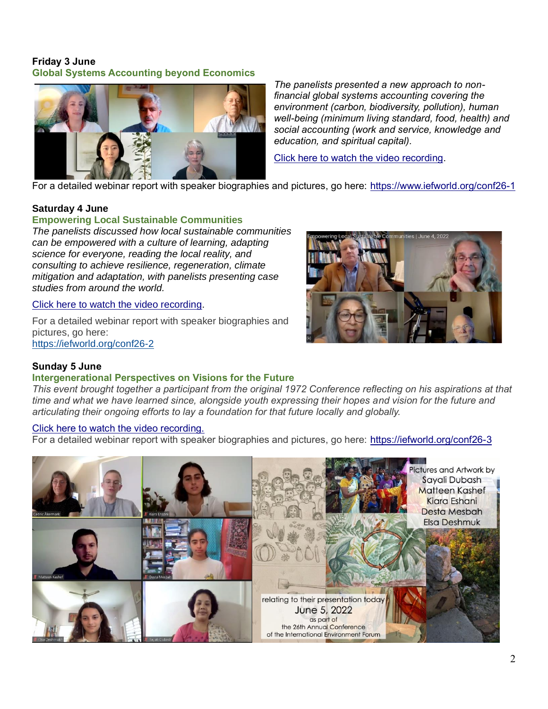### **Friday 3 June Global Systems Accounting beyond Economics**



*The panelists presented a new approach to nonfinancial global systems accounting covering the environment (carbon, biodiversity, pollution), human well-being (minimum living standard, food, health) and social accounting (work and service, knowledge and education, and spiritual capital).*

[Click here to watch the video recording.](https://wilmetteinstitute.org/global-systems-accounting-beyond-economics/)

For a detailed webinar report with speaker biographies and pictures, go here: <https://www.iefworld.org/conf26-1>

### **Saturday 4 June**

### **Empowering Local Sustainable Communities**

*The panelists discussed how local sustainable communities can be empowered with a culture of learning, adapting science for everyone, reading the local reality, and consulting to achieve resilience, regeneration, climate mitigation and adaptation, with panelists presenting case studies from around the world.*

### [Click here to watch the video recording.](https://wilmetteinstitute.org/empowering-local-sustainable-communities/)

For a detailed webinar report with speaker biographies and pictures, go here: <https://iefworld.org/conf26-2>



### **Sunday 5 June**

#### **Intergenerational Perspectives on Visions for the Future**

*This event brought together a participant from the original 1972 Conference reflecting on his aspirations at that time and what we have learned since, alongside youth expressing their hopes and vision for the future and articulating their ongoing efforts to lay a foundation for that future locally and globally.*

#### [Click here to watch the video recording.](https://wilmetteinstitute.org/intergenerational-perspectives-on-visions-for-the-future￼/)

For a detailed webinar report with speaker biographies and pictures, go here: <https://iefworld.org/conf26-3>

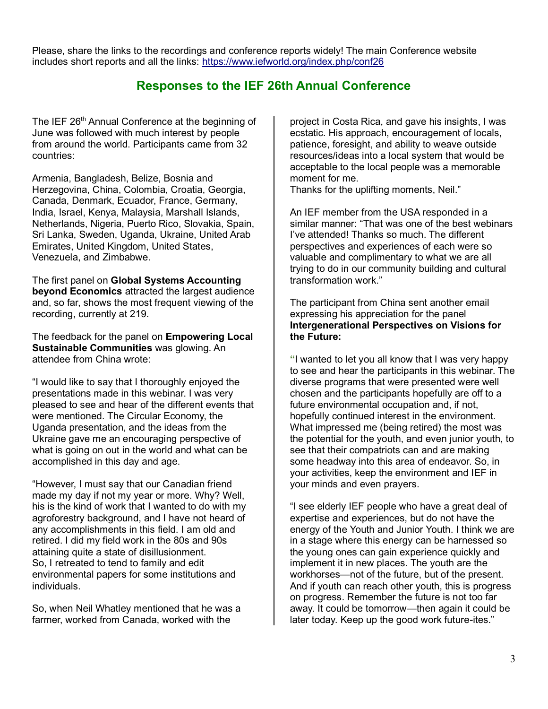Please, share the links to the recordings and conference reports widely! The main Conference website includes short reports and all the links:<https://www.iefworld.org/index.php/conf26>

# **Responses to the IEF 26th Annual Conference**

The IEF 26<sup>th</sup> Annual Conference at the beginning of June was followed with much interest by people from around the world. Participants came from 32 countries:

Armenia, Bangladesh, Belize, Bosnia and Herzegovina, China, Colombia, Croatia, Georgia, Canada, Denmark, Ecuador, France, Germany, India, Israel, Kenya, Malaysia, Marshall Islands, Netherlands, Nigeria, Puerto Rico, Slovakia, Spain, Sri Lanka, Sweden, Uganda, Ukraine, United Arab Emirates, United Kingdom, United States, Venezuela, and Zimbabwe.

The first panel on **Global Systems Accounting beyond Economics** attracted the largest audience and, so far, shows the most frequent viewing of the recording, currently at 219.

The feedback for the panel on **Empowering Local Sustainable Communities** was glowing. An attendee from China wrote:

"I would like to say that I thoroughly enjoyed the presentations made in this webinar. I was very pleased to see and hear of the different events that were mentioned. The Circular Economy, the Uganda presentation, and the ideas from the Ukraine gave me an encouraging perspective of what is going on out in the world and what can be accomplished in this day and age.

"However, I must say that our Canadian friend made my day if not my year or more. Why? Well, his is the kind of work that I wanted to do with my agroforestry background, and I have not heard of any accomplishments in this field. I am old and retired. I did my field work in the 80s and 90s attaining quite a state of disillusionment. So, I retreated to tend to family and edit environmental papers for some institutions and individuals.

So, when Neil Whatley mentioned that he was a farmer, worked from Canada, worked with the

project in Costa Rica, and gave his insights, I was ecstatic. His approach, encouragement of locals, patience, foresight, and ability to weave outside resources/ideas into a local system that would be acceptable to the local people was a memorable moment for me.

Thanks for the uplifting moments, Neil."

An IEF member from the USA responded in a similar manner: "That was one of the best webinars I've attended! Thanks so much. The different perspectives and experiences of each were so valuable and complimentary to what we are all trying to do in our community building and cultural transformation work."

The participant from China sent another email expressing his appreciation for the panel **Intergenerational Perspectives on Visions for the Future:**

**"**I wanted to let you all know that I was very happy to see and hear the participants in this webinar. The diverse programs that were presented were well chosen and the participants hopefully are off to a future environmental occupation and, if not, hopefully continued interest in the environment. What impressed me (being retired) the most was the potential for the youth, and even junior youth, to see that their compatriots can and are making some headway into this area of endeavor. So, in your activities, keep the environment and IEF in your minds and even prayers.

"I see elderly IEF people who have a great deal of expertise and experiences, but do not have the energy of the Youth and Junior Youth. I think we are in a stage where this energy can be harnessed so the young ones can gain experience quickly and implement it in new places. The youth are the workhorses—not of the future, but of the present. And if youth can reach other youth, this is progress on progress. Remember the future is not too far away. It could be tomorrow—then again it could be later today. Keep up the good work future-ites."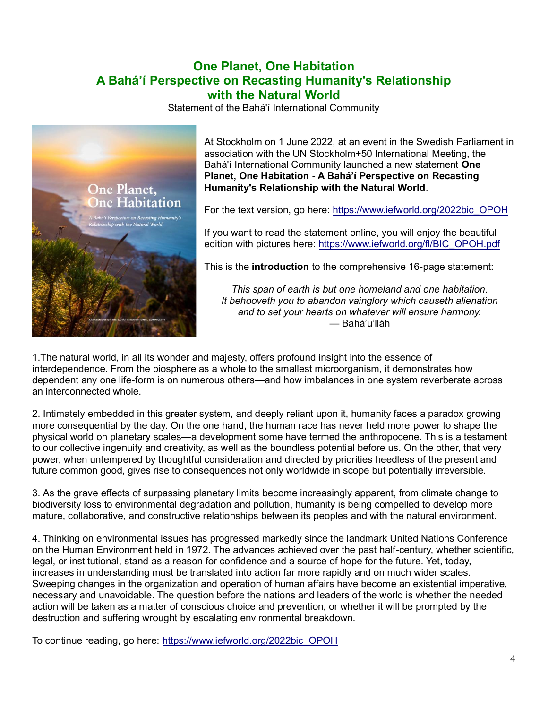## **One Planet, One Habitation A Bahá'í Perspective on Recasting Humanity's Relationship with the Natural World**

Statement of the Bahá'í International Community



At Stockholm on 1 June 2022, at an event in the Swedish Parliament in association with the UN Stockholm+50 International Meeting, the Bahá'í International Community launched a new statement **One Planet, One Habitation - A Bahá'í Perspective on Recasting Humanity's Relationship with the Natural World**.

For the text version, go here: [https://www.iefworld.org/2022bic\\_OPOH](https://www.iefworld.org/2022bic_OPOH)

If you want to read the statement online, you will enjoy the beautiful edition with pictures here: [https://www.iefworld.org/fl/BIC\\_OPOH.pdf](https://www.iefworld.org/fl/BIC_OPOH.pdf)

This is the **introduction** to the comprehensive 16-page statement:

*This span of earth is but one homeland and one habitation. It behooveth you to abandon vainglory which causeth alienation and to set your hearts on whatever will ensure harmony.* — Bahá'u'lláh

1.The natural world, in all its wonder and majesty, offers profound insight into the essence of interdependence. From the biosphere as a whole to the smallest microorganism, it demonstrates how dependent any one life-form is on numerous others—and how imbalances in one system reverberate across an interconnected whole.

2. Intimately embedded in this greater system, and deeply reliant upon it, humanity faces a paradox growing more consequential by the day. On the one hand, the human race has never held more power to shape the physical world on planetary scales—a development some have termed the anthropocene. This is a testament to our collective ingenuity and creativity, as well as the boundless potential before us. On the other, that very power, when untempered by thoughtful consideration and directed by priorities heedless of the present and future common good, gives rise to consequences not only worldwide in scope but potentially irreversible.

3. As the grave effects of surpassing planetary limits become increasingly apparent, from climate change to biodiversity loss to environmental degradation and pollution, humanity is being compelled to develop more mature, collaborative, and constructive relationships between its peoples and with the natural environment.

4. Thinking on environmental issues has progressed markedly since the landmark United Nations Conference on the Human Environment held in 1972. The advances achieved over the past half-century, whether scientific, legal, or institutional, stand as a reason for confidence and a source of hope for the future. Yet, today, increases in understanding must be translated into action far more rapidly and on much wider scales. Sweeping changes in the organization and operation of human affairs have become an existential imperative, necessary and unavoidable. The question before the nations and leaders of the world is whether the needed action will be taken as a matter of conscious choice and prevention, or whether it will be prompted by the destruction and suffering wrought by escalating environmental breakdown.

To continue reading, go here: [https://www.iefworld.org/2022bic\\_OPOH](https://www.iefworld.org/2022bic_OPOH)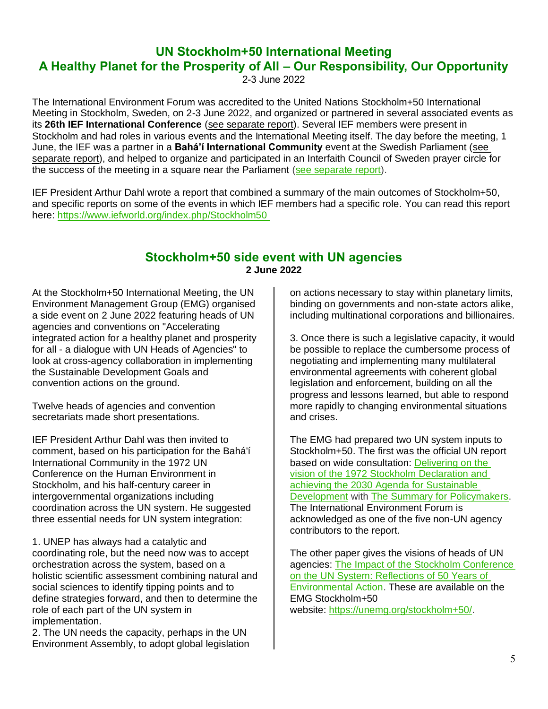# **UN Stockholm+50 International Meeting A Healthy Planet for the Prosperity of All – Our Responsibility, Our Opportunity**

2-3 June 2022

The International Environment Forum was accredited to the United Nations Stockholm+50 International Meeting in Stockholm, Sweden, on 2-3 June 2022, and organized or partnered in several associated events as its **26th IEF International Conference** [\(see separate report\)](https://www.iefworld.org/conf26). Several IEF members were present in Stockholm and had roles in various events and the International Meeting itself. The day before the meeting, 1 June, the IEF was a partner in a **Bahá'í International Community** event at the Swedish Parliament [\(see](https://www.iefworld.org/conf26_BIC)  [separate report\)](https://www.iefworld.org/conf26_BIC), and helped to organize and participated in an Interfaith Council of Sweden prayer circle for the success of the meeting in a square near the Parliament [\(see separate report\)](https://www.iefworld.org/conf26_interfaith).

IEF President Arthur Dahl wrote a report that combined a summary of the main outcomes of Stockholm+50, and specific reports on some of the events in which IEF members had a specific role. You can read this report here:<https://www.iefworld.org/index.php/Stockholm50>

## **Stockholm+50 side event with UN agencies 2 June 2022**

At the Stockholm+50 International Meeting, the UN Environment Management Group (EMG) organised a side event on 2 June 2022 featuring heads of UN agencies and conventions on "Accelerating integrated action for a healthy planet and prosperity for all - a dialogue with UN Heads of Agencies" to look at cross-agency collaboration in implementing the Sustainable Development Goals and convention actions on the ground.

Twelve heads of agencies and convention secretariats made short presentations.

IEF President Arthur Dahl was then invited to comment, based on his participation for the Bahá'í International Community in the 1972 UN Conference on the Human Environment in Stockholm, and his half-century career in intergovernmental organizations including coordination across the UN system. He suggested three essential needs for UN system integration:

1. UNEP has always had a catalytic and coordinating role, but the need now was to accept orchestration across the system, based on a holistic scientific assessment combining natural and social sciences to identify tipping points and to define strategies forward, and then to determine the role of each part of the UN system in implementation.

2. The UN needs the capacity, perhaps in the UN Environment Assembly, to adopt global legislation on actions necessary to stay within planetary limits, binding on governments and non-state actors alike, including multinational corporations and billionaires.

3. Once there is such a legislative capacity, it would be possible to replace the cumbersome process of negotiating and implementing many multilateral environmental agreements with coherent global legislation and enforcement, building on all the progress and lessons learned, but able to respond more rapidly to changing environmental situations and crises.

The EMG had prepared two UN system inputs to Stockholm+50. The first was the official UN report based on wide consultation: [Delivering on the](https://unemg.org/wp-content/uploads/2022/06/UNEP_EMG_Delivering-on-the-vision-of-the-1972-Stockholm-Declaration-Rev3.pdf)  [vision of the 1972 Stockholm Declaration and](https://unemg.org/wp-content/uploads/2022/06/UNEP_EMG_Delivering-on-the-vision-of-the-1972-Stockholm-Declaration-Rev3.pdf)  [achieving the 2030 Agenda for Sustainable](https://unemg.org/wp-content/uploads/2022/06/UNEP_EMG_Delivering-on-the-vision-of-the-1972-Stockholm-Declaration-Rev3.pdf)  [Development](https://unemg.org/wp-content/uploads/2022/06/UNEP_EMG_Delivering-on-the-vision-of-the-1972-Stockholm-Declaration-Rev3.pdf) with [The Summary for Policymakers.](https://unemg.org/wp-content/uploads/2022/06/UNEP_EMG_Delivering-on-the-vision-of-the-1972-Summary-for-Policymakers-Rev3.pdf) The International Environment Forum is acknowledged as one of the five non-UN agency contributors to the report.

The other paper gives the visions of heads of UN agencies: [The Impact of the Stockholm Conference](https://unemg.org/wp-content/uploads/2022/06/UNEP_EMG_Impact-of-the-Stockholm-Conference-on-the-UN-System-Rev3.pdf)  [on the UN System: Reflections of 50 Years of](https://unemg.org/wp-content/uploads/2022/06/UNEP_EMG_Impact-of-the-Stockholm-Conference-on-the-UN-System-Rev3.pdf)  [Environmental Action.](https://unemg.org/wp-content/uploads/2022/06/UNEP_EMG_Impact-of-the-Stockholm-Conference-on-the-UN-System-Rev3.pdf) These are available on the EMG Stockholm+50 website: [https://unemg.org/stockholm+50/.](https://unemg.org/stockholm+50/)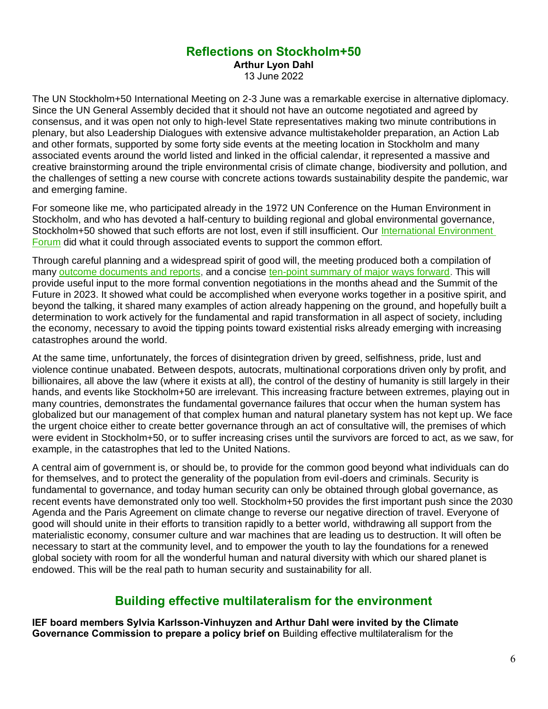## **Reflections on Stockholm+50**

**Arthur Lyon Dahl**

13 June 2022

The UN Stockholm+50 International Meeting on 2-3 June was a remarkable exercise in alternative diplomacy. Since the UN General Assembly decided that it should not have an outcome negotiated and agreed by consensus, and it was open not only to high-level State representatives making two minute contributions in plenary, but also Leadership Dialogues with extensive advance multistakeholder preparation, an Action Lab and other formats, supported by some forty side events at the meeting location in Stockholm and many associated events around the world listed and linked in the official calendar, it represented a massive and creative brainstorming around the triple environmental crisis of climate change, biodiversity and pollution, and the challenges of setting a new course with concrete actions towards sustainability despite the pandemic, war and emerging famine.

For someone like me, who participated already in the 1972 UN Conference on the Human Environment in Stockholm, and who has devoted a half-century to building regional and global environmental governance, Stockholm+50 showed that such efforts are not lost, even if still insufficient. Our International Environment [Forum](https://www.iefworld.org/Stockholm50) did what it could through associated events to support the common effort.

Through careful planning and a widespread spirit of good will, the meeting produced both a compilation of many [outcome documents and reports,](https://www.stockholm50.global/resources/stockholm50-agenda-action-renewal-and-trust-outputs-and-outcomes) and a concise [ten-point summary of major ways forward.](https://wedocs.unep.org/bitstream/handle/20.500.11822/40110/Key%20Messages%20and%20Recommendations%20-%20Formatted.pdf) This will provide useful input to the more formal convention negotiations in the months ahead and the Summit of the Future in 2023. It showed what could be accomplished when everyone works together in a positive spirit, and beyond the talking, it shared many examples of action already happening on the ground, and hopefully built a determination to work actively for the fundamental and rapid transformation in all aspect of society, including the economy, necessary to avoid the tipping points toward existential risks already emerging with increasing catastrophes around the world.

At the same time, unfortunately, the forces of disintegration driven by greed, selfishness, pride, lust and violence continue unabated. Between despots, autocrats, multinational corporations driven only by profit, and billionaires, all above the law (where it exists at all), the control of the destiny of humanity is still largely in their hands, and events like Stockholm+50 are irrelevant. This increasing fracture between extremes, playing out in many countries, demonstrates the fundamental governance failures that occur when the human system has globalized but our management of that complex human and natural planetary system has not kept up. We face the urgent choice either to create better governance through an act of consultative will, the premises of which were evident in Stockholm+50, or to suffer increasing crises until the survivors are forced to act, as we saw, for example, in the catastrophes that led to the United Nations.

A central aim of government is, or should be, to provide for the common good beyond what individuals can do for themselves, and to protect the generality of the population from evil-doers and criminals. Security is fundamental to governance, and today human security can only be obtained through global governance, as recent events have demonstrated only too well. Stockholm+50 provides the first important push since the 2030 Agenda and the Paris Agreement on climate change to reverse our negative direction of travel. Everyone of good will should unite in their efforts to transition rapidly to a better world, withdrawing all support from the materialistic economy, consumer culture and war machines that are leading us to destruction. It will often be necessary to start at the community level, and to empower the youth to lay the foundations for a renewed global society with room for all the wonderful human and natural diversity with which our shared planet is endowed. This will be the real path to human security and sustainability for all.

# **Building effective multilateralism for the environment**

**IEF board members Sylvia Karlsson-Vinhuyzen and Arthur Dahl were invited by the Climate Governance Commission to prepare a policy brief on** Building effective multilateralism for the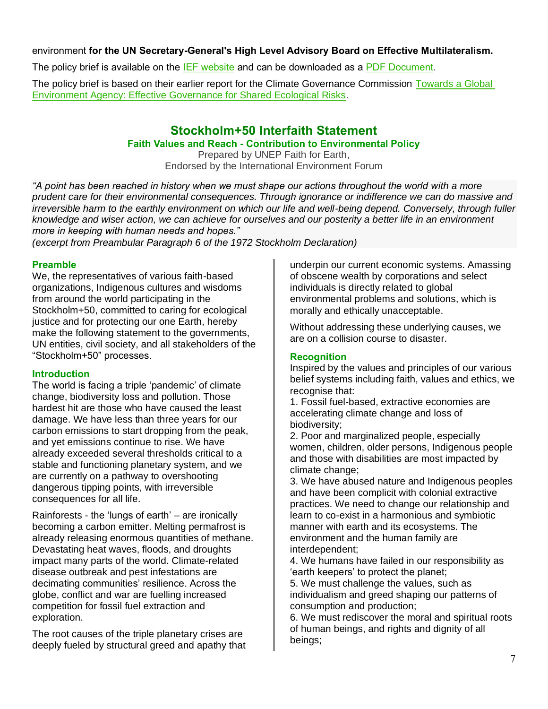### environment **for the UN Secretary-General's High Level Advisory Board on Effective Multilateralism.**

The policy brief is available on the [IEF website](https://www.iefworld.org/multilateralism) and can be downloaded as a [PDF Document.](https://www.iefworld.org/fl/Policybrief_KarlssonVinkhuyzen_Dahl.pdf)

The policy brief is based on their earlier report for the Climate Governance Commission Towards a Global [Environment Agency: Effective Governance for Shared Ecological Risks.](https://globalchallenges.org/wp-content/uploads/2021/11/FINAL-–-Towards-a-Global-Environment-Agency-2021-11-03.pdf)

## **Stockholm+50 Interfaith Statement**

### **Faith Values and Reach - Contribution to Environmental Policy**

Prepared by UNEP Faith for Earth, Endorsed by the International Environment Forum

*"A point has been reached in history when we must shape our actions throughout the world with a more prudent care for their environmental consequences. Through ignorance or indifference we can do massive and irreversible harm to the earthly environment on which our life and well-being depend. Conversely, through fuller knowledge and wiser action, we can achieve for ourselves and our posterity a better life in an environment more in keeping with human needs and hopes."*

*(excerpt from Preambular Paragraph 6 of the 1972 Stockholm Declaration)*

### **Preamble**

We, the representatives of various faith-based organizations, Indigenous cultures and wisdoms from around the world participating in the Stockholm+50, committed to caring for ecological justice and for protecting our one Earth, hereby make the following statement to the governments, UN entities, civil society, and all stakeholders of the "Stockholm+50" processes.

### **Introduction**

The world is facing a triple 'pandemic' of climate change, biodiversity loss and pollution. Those hardest hit are those who have caused the least damage. We have less than three years for our carbon emissions to start dropping from the peak, and yet emissions continue to rise. We have already exceeded several thresholds critical to a stable and functioning planetary system, and we are currently on a pathway to overshooting dangerous tipping points, with irreversible consequences for all life.

Rainforests - the 'lungs of earth' – are ironically becoming a carbon emitter. Melting permafrost is already releasing enormous quantities of methane. Devastating heat waves, floods, and droughts impact many parts of the world. Climate-related disease outbreak and pest infestations are decimating communities' resilience. Across the globe, conflict and war are fuelling increased competition for fossil fuel extraction and exploration.

The root causes of the triple planetary crises are deeply fueled by structural greed and apathy that underpin our current economic systems. Amassing of obscene wealth by corporations and select individuals is directly related to global environmental problems and solutions, which is morally and ethically unacceptable.

Without addressing these underlying causes, we are on a collision course to disaster.

### **Recognition**

Inspired by the values and principles of our various belief systems including faith, values and ethics, we recognise that:

1. Fossil fuel-based, extractive economies are accelerating climate change and loss of biodiversity;

2. Poor and marginalized people, especially women, children, older persons, Indigenous people and those with disabilities are most impacted by climate change;

3. We have abused nature and Indigenous peoples and have been complicit with colonial extractive practices. We need to change our relationship and learn to co-exist in a harmonious and symbiotic manner with earth and its ecosystems. The environment and the human family are interdependent;

4. We humans have failed in our responsibility as 'earth keepers' to protect the planet;

5. We must challenge the values, such as individualism and greed shaping our patterns of consumption and production;

6. We must rediscover the moral and spiritual roots of human beings, and rights and dignity of all beings;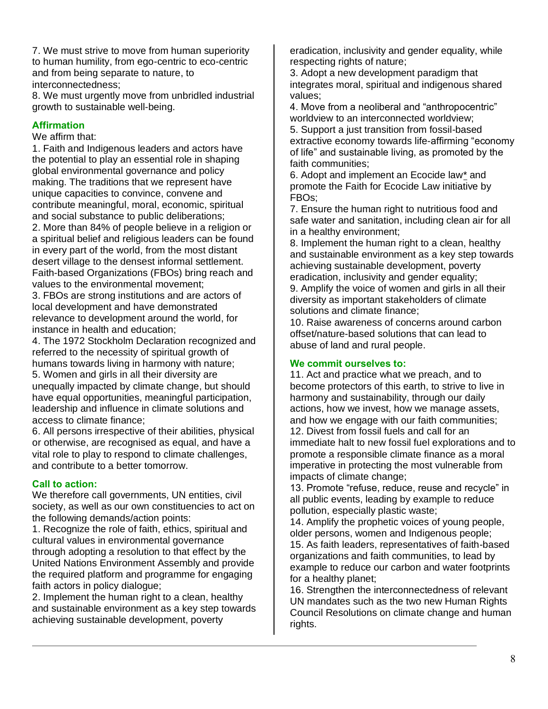7. We must strive to move from human superiority to human humility, from ego-centric to eco-centric and from being separate to nature, to interconnectedness;

8. We must urgently move from unbridled industrial growth to sustainable well-being.

## **Affirmation**

We affirm that:

1. Faith and Indigenous leaders and actors have the potential to play an essential role in shaping global environmental governance and policy making. The traditions that we represent have unique capacities to convince, convene and contribute meaningful, moral, economic, spiritual and social substance to public deliberations; 2. More than 84% of people believe in a religion or a spiritual belief and religious leaders can be found in every part of the world, from the most distant desert village to the densest informal settlement. Faith-based Organizations (FBOs) bring reach and values to the environmental movement;

3. FBOs are strong institutions and are actors of local development and have demonstrated relevance to development around the world, for instance in health and education;

4. The 1972 Stockholm Declaration recognized and referred to the necessity of spiritual growth of humans towards living in harmony with nature; 5. Women and girls in all their diversity are unequally impacted by climate change, but should have equal opportunities, meaningful participation, leadership and influence in climate solutions and access to climate finance;

6. All persons irrespective of their abilities, physical or otherwise, are recognised as equal, and have a vital role to play to respond to climate challenges, and contribute to a better tomorrow.

### **Call to action:**

We therefore call governments, UN entities, civil society, as well as our own constituencies to act on the following demands/action points:

1. Recognize the role of faith, ethics, spiritual and cultural values in environmental governance through adopting a resolution to that effect by the United Nations Environment Assembly and provide the required platform and programme for engaging faith actors in policy dialogue;

2. Implement the human right to a clean, healthy and sustainable environment as a key step towards achieving sustainable development, poverty

eradication, inclusivity and gender equality, while respecting rights of nature;

3. Adopt a new development paradigm that integrates moral, spiritual and indigenous shared values;

4. Move from a neoliberal and "anthropocentric" worldview to an interconnected worldview;

5. Support a just transition from fossil-based extractive economy towards life-affirming "economy of life" and sustainable living, as promoted by the faith communities;

6. Adopt and implement an Ecocide la[w\\*](https://www.iefworld.org/index.php/interfaithS50#*) and promote the Faith for Ecocide Law initiative by FBOs;

7. Ensure the human right to nutritious food and safe water and sanitation, including clean air for all in a healthy environment;

8. Implement the human right to a clean, healthy and sustainable environment as a key step towards achieving sustainable development, poverty eradication, inclusivity and gender equality; 9. Amplify the voice of women and girls in all their diversity as important stakeholders of climate solutions and climate finance;

10. Raise awareness of concerns around carbon offset/nature-based solutions that can lead to abuse of land and rural people.

### **We commit ourselves to:**

11. Act and practice what we preach, and to become protectors of this earth, to strive to live in harmony and sustainability, through our daily actions, how we invest, how we manage assets, and how we engage with our faith communities; 12. Divest from fossil fuels and call for an immediate halt to new fossil fuel explorations and to promote a responsible climate finance as a moral imperative in protecting the most vulnerable from impacts of climate change;

13. Promote "refuse, reduce, reuse and recycle" in all public events, leading by example to reduce pollution, especially plastic waste;

14. Amplify the prophetic voices of young people, older persons, women and Indigenous people; 15. As faith leaders, representatives of faith-based organizations and faith communities, to lead by example to reduce our carbon and water footprints for a healthy planet;

16. Strengthen the interconnectedness of relevant UN mandates such as the two new Human Rights Council Resolutions on climate change and human rights.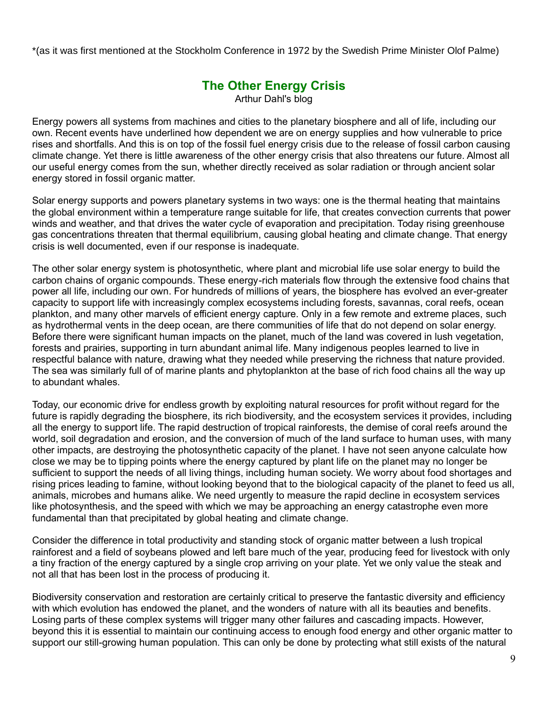\*(as it was first mentioned at the Stockholm Conference in 1972 by the Swedish Prime Minister Olof Palme)

# **The Other Energy Crisis**

Arthur Dahl's blog

Energy powers all systems from machines and cities to the planetary biosphere and all of life, including our own. Recent events have underlined how dependent we are on energy supplies and how vulnerable to price rises and shortfalls. And this is on top of the fossil fuel energy crisis due to the release of fossil carbon causing climate change. Yet there is little awareness of the other energy crisis that also threatens our future. Almost all our useful energy comes from the sun, whether directly received as solar radiation or through ancient solar energy stored in fossil organic matter.

Solar energy supports and powers planetary systems in two ways: one is the thermal heating that maintains the global environment within a temperature range suitable for life, that creates convection currents that power winds and weather, and that drives the water cycle of evaporation and precipitation. Today rising greenhouse gas concentrations threaten that thermal equilibrium, causing global heating and climate change. That energy crisis is well documented, even if our response is inadequate.

The other solar energy system is photosynthetic, where plant and microbial life use solar energy to build the carbon chains of organic compounds. These energy-rich materials flow through the extensive food chains that power all life, including our own. For hundreds of millions of years, the biosphere has evolved an ever-greater capacity to support life with increasingly complex ecosystems including forests, savannas, coral reefs, ocean plankton, and many other marvels of efficient energy capture. Only in a few remote and extreme places, such as hydrothermal vents in the deep ocean, are there communities of life that do not depend on solar energy. Before there were significant human impacts on the planet, much of the land was covered in lush vegetation, forests and prairies, supporting in turn abundant animal life. Many indigenous peoples learned to live in respectful balance with nature, drawing what they needed while preserving the richness that nature provided. The sea was similarly full of of marine plants and phytoplankton at the base of rich food chains all the way up to abundant whales.

Today, our economic drive for endless growth by exploiting natural resources for profit without regard for the future is rapidly degrading the biosphere, its rich biodiversity, and the ecosystem services it provides, including all the energy to support life. The rapid destruction of tropical rainforests, the demise of coral reefs around the world, soil degradation and erosion, and the conversion of much of the land surface to human uses, with many other impacts, are destroying the photosynthetic capacity of the planet. I have not seen anyone calculate how close we may be to tipping points where the energy captured by plant life on the planet may no longer be sufficient to support the needs of all living things, including human society. We worry about food shortages and rising prices leading to famine, without looking beyond that to the biological capacity of the planet to feed us all, animals, microbes and humans alike. We need urgently to measure the rapid decline in ecosystem services like photosynthesis, and the speed with which we may be approaching an energy catastrophe even more fundamental than that precipitated by global heating and climate change.

Consider the difference in total productivity and standing stock of organic matter between a lush tropical rainforest and a field of soybeans plowed and left bare much of the year, producing feed for livestock with only a tiny fraction of the energy captured by a single crop arriving on your plate. Yet we only value the steak and not all that has been lost in the process of producing it.

Biodiversity conservation and restoration are certainly critical to preserve the fantastic diversity and efficiency with which evolution has endowed the planet, and the wonders of nature with all its beauties and benefits. Losing parts of these complex systems will trigger many other failures and cascading impacts. However, beyond this it is essential to maintain our continuing access to enough food energy and other organic matter to support our still-growing human population. This can only be done by protecting what still exists of the natural